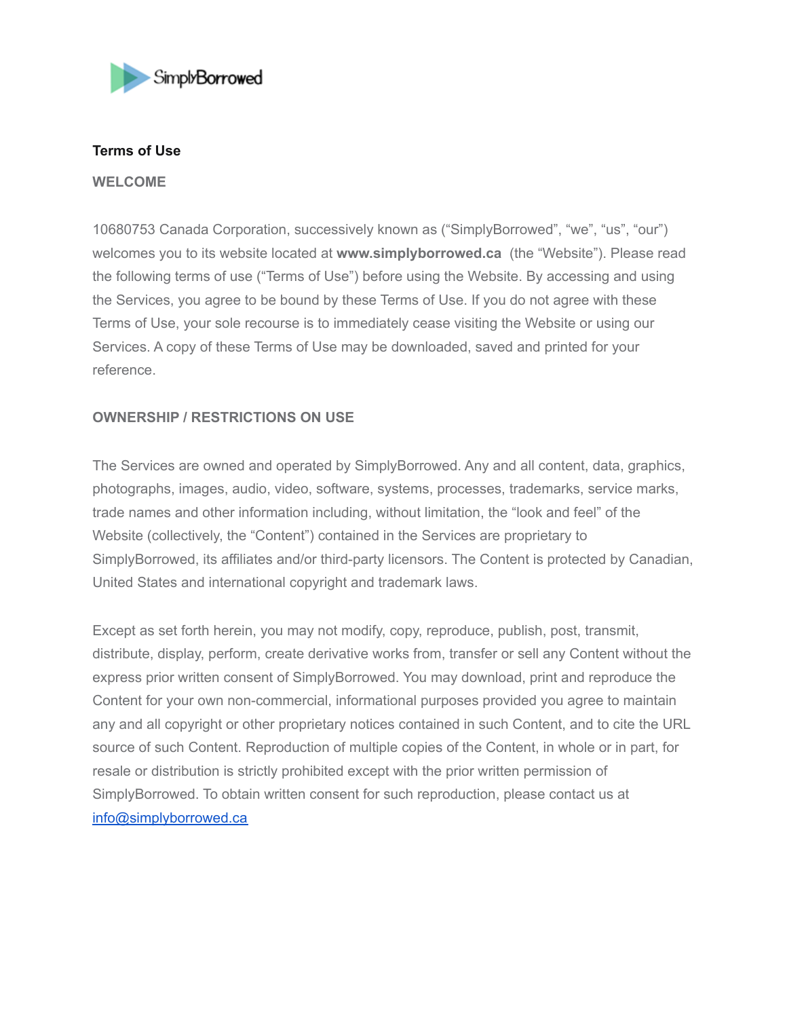

### **Terms of Use**

#### **WELCOME**

10680753 Canada Corporation, successively known as ("SimplyBorrowed", "we", "us", "our") welcomes you to its website located at **www.simplyborrowed.ca** (the "Website"). Please read the following terms of use ("Terms of Use") before using the Website. By accessing and using the Services, you agree to be bound by these Terms of Use. If you do not agree with these Terms of Use, your sole recourse is to immediately cease visiting the Website or using our Services. A copy of these Terms of Use may be downloaded, saved and printed for your reference.

# **OWNERSHIP / RESTRICTIONS ON USE**

The Services are owned and operated by SimplyBorrowed. Any and all content, data, graphics, photographs, images, audio, video, software, systems, processes, trademarks, service marks, trade names and other information including, without limitation, the "look and feel" of the Website (collectively, the "Content") contained in the Services are proprietary to SimplyBorrowed, its affiliates and/or third-party licensors. The Content is protected by Canadian, United States and international copyright and trademark laws.

Except as set forth herein, you may not modify, copy, reproduce, publish, post, transmit, distribute, display, perform, create derivative works from, transfer or sell any Content without the express prior written consent of SimplyBorrowed. You may download, print and reproduce the Content for your own non-commercial, informational purposes provided you agree to maintain any and all copyright or other proprietary notices contained in such Content, and to cite the URL source of such Content. Reproduction of multiple copies of the Content, in whole or in part, for resale or distribution is strictly prohibited except with the prior written permission of SimplyBorrowed. To obtain written consent for such reproduction, please contact us at [info@simplyborrowed.ca](mailto:info@simplyborrowed.ca)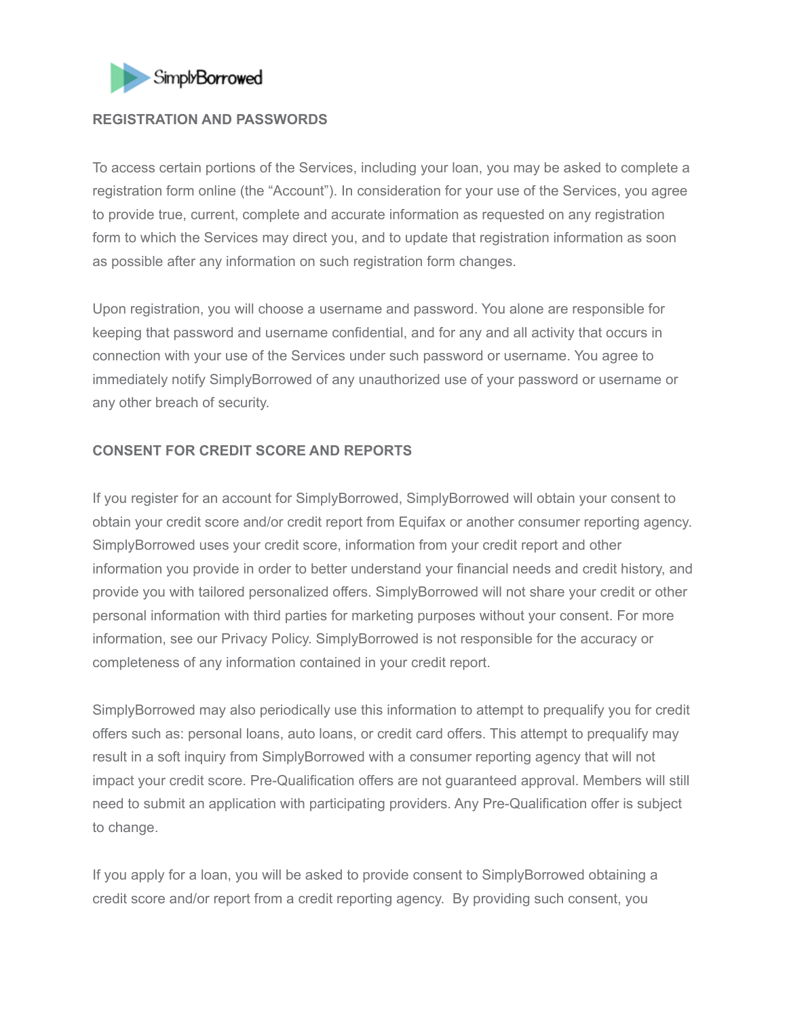

### **REGISTRATION AND PASSWORDS**

To access certain portions of the Services, including your loan, you may be asked to complete a registration form online (the "Account"). In consideration for your use of the Services, you agree to provide true, current, complete and accurate information as requested on any registration form to which the Services may direct you, and to update that registration information as soon as possible after any information on such registration form changes.

Upon registration, you will choose a username and password. You alone are responsible for keeping that password and username confidential, and for any and all activity that occurs in connection with your use of the Services under such password or username. You agree to immediately notify SimplyBorrowed of any unauthorized use of your password or username or any other breach of security.

### **CONSENT FOR CREDIT SCORE AND REPORTS**

If you register for an account for SimplyBorrowed, SimplyBorrowed will obtain your consent to obtain your credit score and/or credit report from Equifax or another consumer reporting agency. SimplyBorrowed uses your credit score, information from your credit report and other information you provide in order to better understand your financial needs and credit history, and provide you with tailored personalized offers. SimplyBorrowed will not share your credit or other personal information with third parties for marketing purposes without your consent. For more information, see our Privacy Policy. SimplyBorrowed is not responsible for the accuracy or completeness of any information contained in your credit report.

SimplyBorrowed may also periodically use this information to attempt to prequalify you for credit offers such as: personal loans, auto loans, or credit card offers. This attempt to prequalify may result in a soft inquiry from SimplyBorrowed with a consumer reporting agency that will not impact your credit score. Pre-Qualification offers are not guaranteed approval. Members will still need to submit an application with participating providers. Any Pre-Qualification offer is subject to change.

If you apply for a loan, you will be asked to provide consent to SimplyBorrowed obtaining a credit score and/or report from a credit reporting agency. By providing such consent, you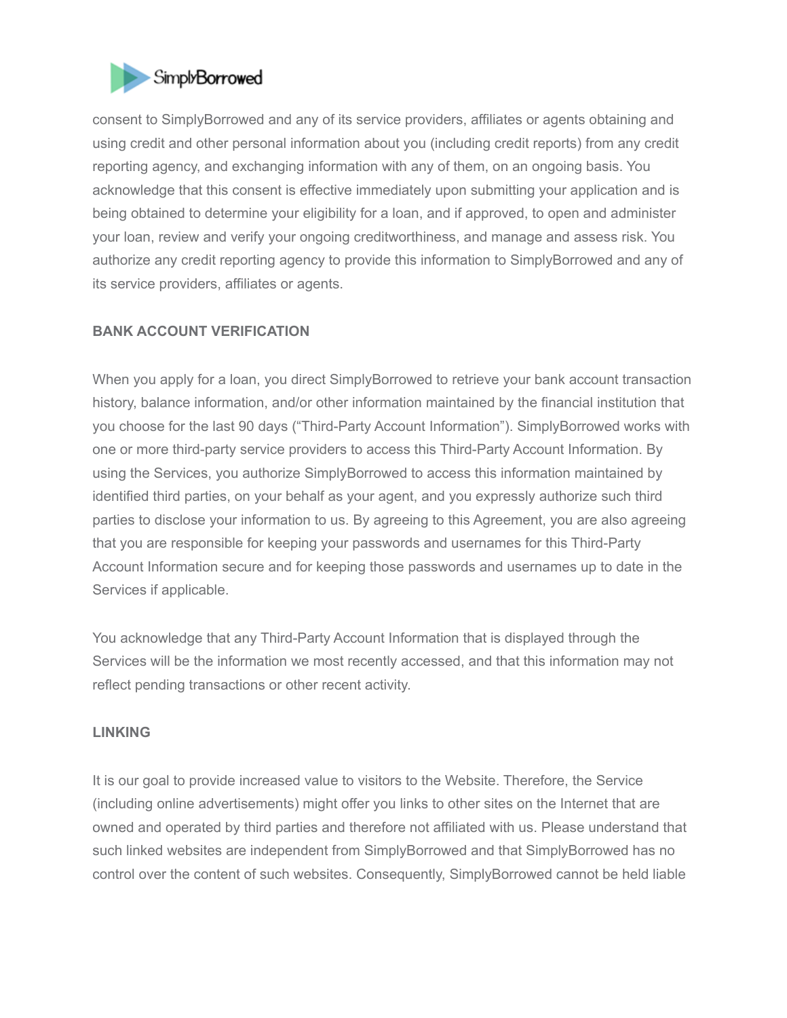

consent to SimplyBorrowed and any of its service providers, affiliates or agents obtaining and using credit and other personal information about you (including credit reports) from any credit reporting agency, and exchanging information with any of them, on an ongoing basis. You acknowledge that this consent is effective immediately upon submitting your application and is being obtained to determine your eligibility for a loan, and if approved, to open and administer your loan, review and verify your ongoing creditworthiness, and manage and assess risk. You authorize any credit reporting agency to provide this information to SimplyBorrowed and any of its service providers, affiliates or agents.

# **BANK ACCOUNT VERIFICATION**

When you apply for a loan, you direct SimplyBorrowed to retrieve your bank account transaction history, balance information, and/or other information maintained by the financial institution that you choose for the last 90 days ("Third-Party Account Information"). SimplyBorrowed works with one or more third-party service providers to access this Third-Party Account Information. By using the Services, you authorize SimplyBorrowed to access this information maintained by identified third parties, on your behalf as your agent, and you expressly authorize such third parties to disclose your information to us. By agreeing to this Agreement, you are also agreeing that you are responsible for keeping your passwords and usernames for this Third-Party Account Information secure and for keeping those passwords and usernames up to date in the Services if applicable.

You acknowledge that any Third-Party Account Information that is displayed through the Services will be the information we most recently accessed, and that this information may not reflect pending transactions or other recent activity.

#### **LINKING**

It is our goal to provide increased value to visitors to the Website. Therefore, the Service (including online advertisements) might offer you links to other sites on the Internet that are owned and operated by third parties and therefore not affiliated with us. Please understand that such linked websites are independent from SimplyBorrowed and that SimplyBorrowed has no control over the content of such websites. Consequently, SimplyBorrowed cannot be held liable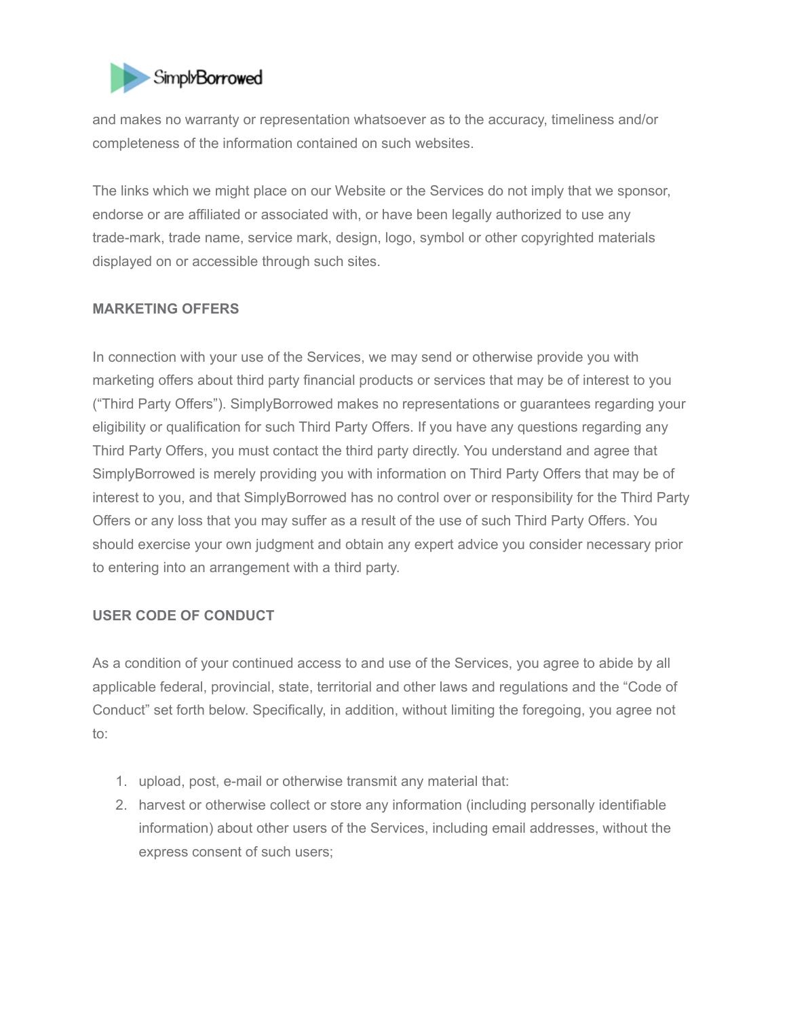

and makes no warranty or representation whatsoever as to the accuracy, timeliness and/or completeness of the information contained on such websites.

The links which we might place on our Website or the Services do not imply that we sponsor, endorse or are affiliated or associated with, or have been legally authorized to use any trade-mark, trade name, service mark, design, logo, symbol or other copyrighted materials displayed on or accessible through such sites.

# **MARKETING OFFERS**

In connection with your use of the Services, we may send or otherwise provide you with marketing offers about third party financial products or services that may be of interest to you ("Third Party Offers"). SimplyBorrowed makes no representations or guarantees regarding your eligibility or qualification for such Third Party Offers. If you have any questions regarding any Third Party Offers, you must contact the third party directly. You understand and agree that SimplyBorrowed is merely providing you with information on Third Party Offers that may be of interest to you, and that SimplyBorrowed has no control over or responsibility for the Third Party Offers or any loss that you may suffer as a result of the use of such Third Party Offers. You should exercise your own judgment and obtain any expert advice you consider necessary prior to entering into an arrangement with a third party.

### **USER CODE OF CONDUCT**

As a condition of your continued access to and use of the Services, you agree to abide by all applicable federal, provincial, state, territorial and other laws and regulations and the "Code of Conduct" set forth below. Specifically, in addition, without limiting the foregoing, you agree not to:

- 1. upload, post, e-mail or otherwise transmit any material that:
- 2. harvest or otherwise collect or store any information (including personally identifiable information) about other users of the Services, including email addresses, without the express consent of such users;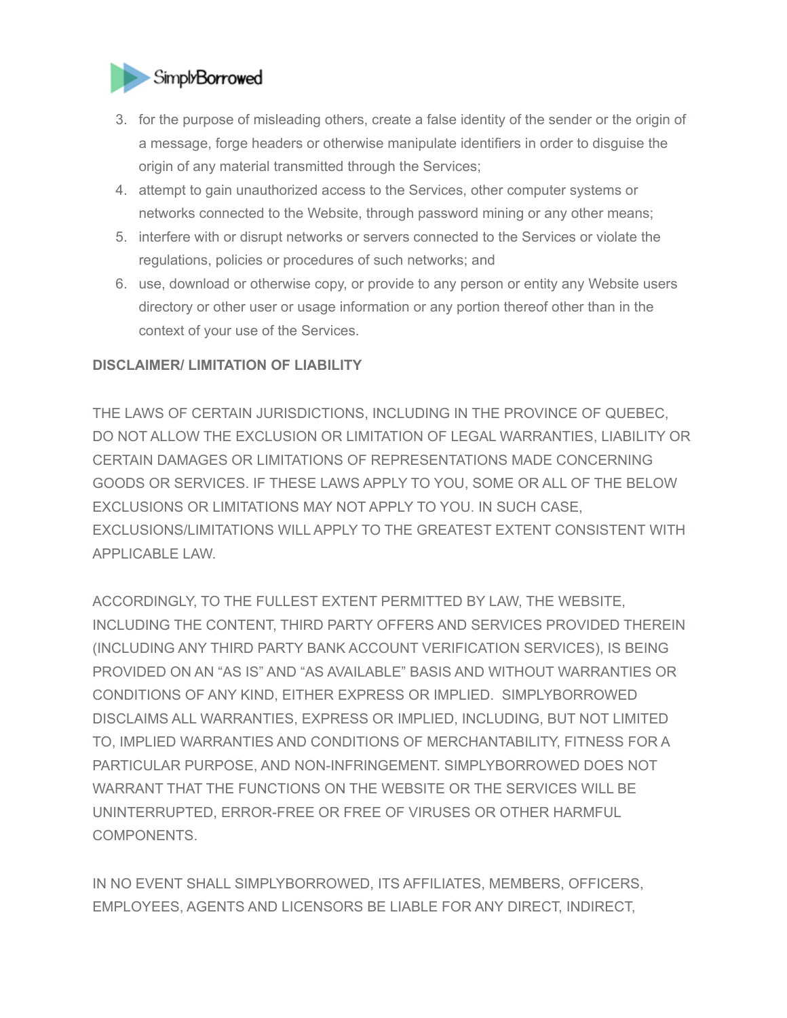

- 3. for the purpose of misleading others, create a false identity of the sender or the origin of a message, forge headers or otherwise manipulate identifiers in order to disguise the origin of any material transmitted through the Services;
- 4. attempt to gain unauthorized access to the Services, other computer systems or networks connected to the Website, through password mining or any other means;
- 5. interfere with or disrupt networks or servers connected to the Services or violate the regulations, policies or procedures of such networks; and
- 6. use, download or otherwise copy, or provide to any person or entity any Website users directory or other user or usage information or any portion thereof other than in the context of your use of the Services.

# **DISCLAIMER/ LIMITATION OF LIABILITY**

THE LAWS OF CERTAIN JURISDICTIONS, INCLUDING IN THE PROVINCE OF QUEBEC, DO NOT ALLOW THE EXCLUSION OR LIMITATION OF LEGAL WARRANTIES, LIABILITY OR CERTAIN DAMAGES OR LIMITATIONS OF REPRESENTATIONS MADE CONCERNING GOODS OR SERVICES. IF THESE LAWS APPLY TO YOU, SOME OR ALL OF THE BELOW EXCLUSIONS OR LIMITATIONS MAY NOT APPLY TO YOU. IN SUCH CASE, EXCLUSIONS/LIMITATIONS WILL APPLY TO THE GREATEST EXTENT CONSISTENT WITH APPLICABLE LAW.

ACCORDINGLY, TO THE FULLEST EXTENT PERMITTED BY LAW, THE WEBSITE, INCLUDING THE CONTENT, THIRD PARTY OFFERS AND SERVICES PROVIDED THEREIN (INCLUDING ANY THIRD PARTY BANK ACCOUNT VERIFICATION SERVICES), IS BEING PROVIDED ON AN "AS IS" AND "AS AVAILABLE" BASIS AND WITHOUT WARRANTIES OR CONDITIONS OF ANY KIND, EITHER EXPRESS OR IMPLIED. SIMPLYBORROWED DISCLAIMS ALL WARRANTIES, EXPRESS OR IMPLIED, INCLUDING, BUT NOT LIMITED TO, IMPLIED WARRANTIES AND CONDITIONS OF MERCHANTABILITY, FITNESS FOR A PARTICULAR PURPOSE, AND NON-INFRINGEMENT. SIMPLYBORROWED DOES NOT WARRANT THAT THE FUNCTIONS ON THE WEBSITE OR THE SERVICES WILL BE UNINTERRUPTED, ERROR-FREE OR FREE OF VIRUSES OR OTHER HARMFUL COMPONENTS.

IN NO EVENT SHALL SIMPLYBORROWED, ITS AFFILIATES, MEMBERS, OFFICERS, EMPLOYEES, AGENTS AND LICENSORS BE LIABLE FOR ANY DIRECT, INDIRECT,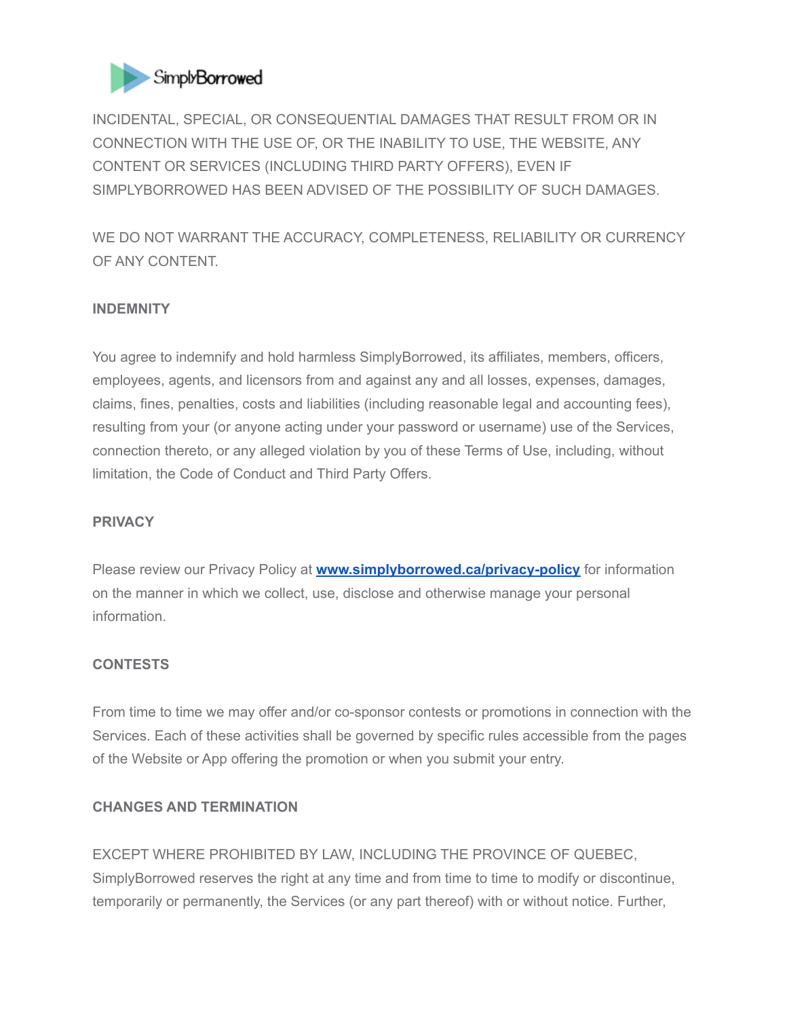

INCIDENTAL, SPECIAL, OR CONSEQUENTIAL DAMAGES THAT RESULT FROM OR IN CONNECTION WITH THE USE OF, OR THE INABILITY TO USE, THE WEBSITE, ANY CONTENT OR SERVICES (INCLUDING THIRD PARTY OFFERS), EVEN IF SIMPLYBORROWED HAS BEEN ADVISED OF THE POSSIBILITY OF SUCH DAMAGES.

WE DO NOT WARRANT THE ACCURACY, COMPLETENESS, RELIABILITY OR CURRENCY OF ANY CONTENT.

# **INDEMNITY**

You agree to indemnify and hold harmless SimplyBorrowed, its affiliates, members, officers, employees, agents, and licensors from and against any and all losses, expenses, damages, claims, fines, penalties, costs and liabilities (including reasonable legal and accounting fees), resulting from your (or anyone acting under your password or username) use of the Services, connection thereto, or any alleged violation by you of these Terms of Use, including, without limitation, the Code of Conduct and Third Party Offers.

### **PRIVACY**

Please review our Privacy Policy at **[www.simplyborrowed.ca/privacy-policy](http://www.simplyborrowed.ca/privacy-policy)** for information on the manner in which we collect, use, disclose and otherwise manage your personal information.

### **CONTESTS**

From time to time we may offer and/or co-sponsor contests or promotions in connection with the Services. Each of these activities shall be governed by specific rules accessible from the pages of the Website or App offering the promotion or when you submit your entry.

### **CHANGES AND TERMINATION**

EXCEPT WHERE PROHIBITED BY LAW, INCLUDING THE PROVINCE OF QUEBEC, SimplyBorrowed reserves the right at any time and from time to time to modify or discontinue, temporarily or permanently, the Services (or any part thereof) with or without notice. Further,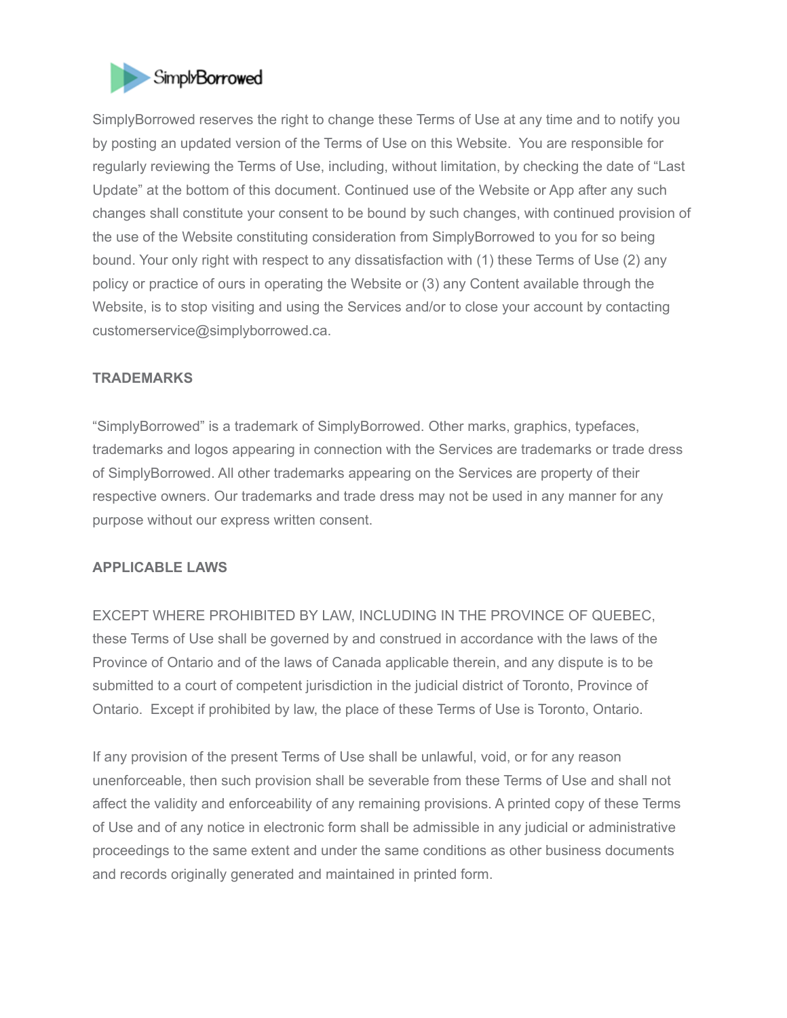

SimplyBorrowed reserves the right to change these Terms of Use at any time and to notify you by posting an updated version of the Terms of Use on this Website. You are responsible for regularly reviewing the Terms of Use, including, without limitation, by checking the date of "Last Update" at the bottom of this document. Continued use of the Website or App after any such changes shall constitute your consent to be bound by such changes, with continued provision of the use of the Website constituting consideration from SimplyBorrowed to you for so being bound. Your only right with respect to any dissatisfaction with (1) these Terms of Use (2) any policy or practice of ours in operating the Website or (3) any Content available through the Website, is to stop visiting and using the Services and/or to close your account by contacting customerservice@simplyborrowed.ca.

### **TRADEMARKS**

"SimplyBorrowed" is a trademark of SimplyBorrowed. Other marks, graphics, typefaces, trademarks and logos appearing in connection with the Services are trademarks or trade dress of SimplyBorrowed. All other trademarks appearing on the Services are property of their respective owners. Our trademarks and trade dress may not be used in any manner for any purpose without our express written consent.

### **APPLICABLE LAWS**

EXCEPT WHERE PROHIBITED BY LAW, INCLUDING IN THE PROVINCE OF QUEBEC, these Terms of Use shall be governed by and construed in accordance with the laws of the Province of Ontario and of the laws of Canada applicable therein, and any dispute is to be submitted to a court of competent jurisdiction in the judicial district of Toronto, Province of Ontario. Except if prohibited by law, the place of these Terms of Use is Toronto, Ontario.

If any provision of the present Terms of Use shall be unlawful, void, or for any reason unenforceable, then such provision shall be severable from these Terms of Use and shall not affect the validity and enforceability of any remaining provisions. A printed copy of these Terms of Use and of any notice in electronic form shall be admissible in any judicial or administrative proceedings to the same extent and under the same conditions as other business documents and records originally generated and maintained in printed form.